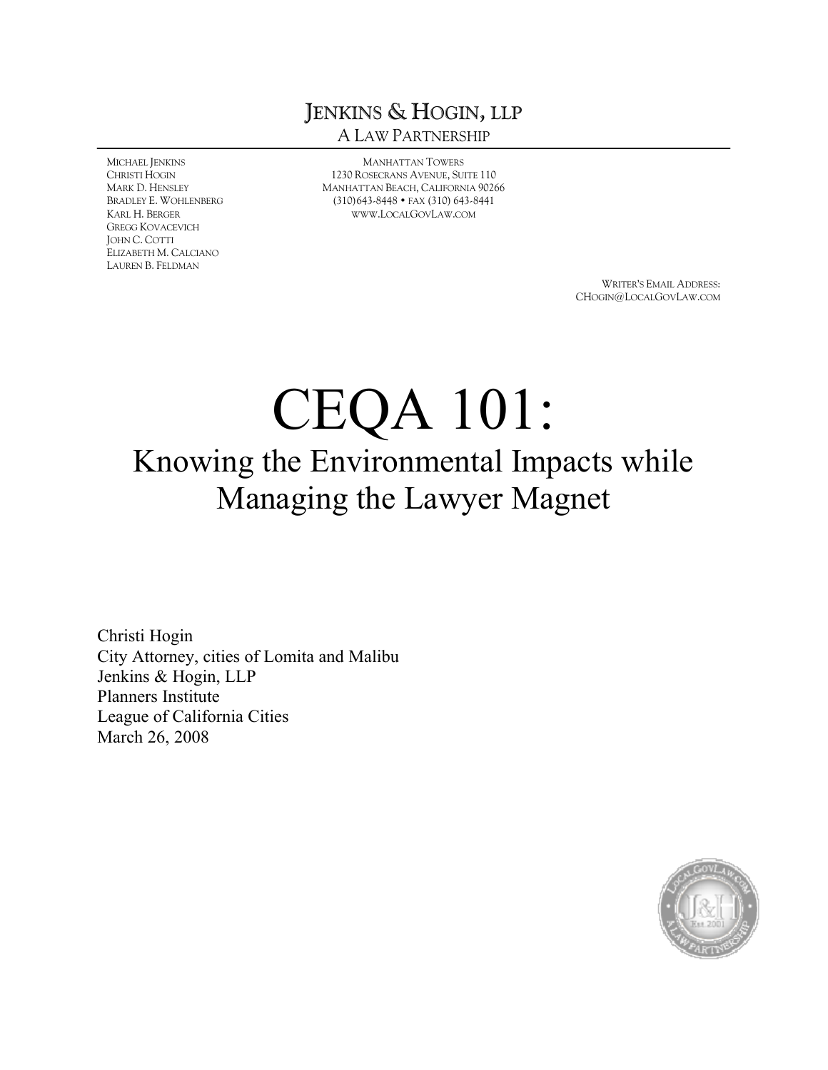## JENKINS & HOGIN, LLP A LAW PARTNERSHIP

MICHAEL JENKINS CHRISTI HOGIN MARK D. HENSLEY BRADLEY E. WOHLENBERG KARL H. BERGER GREGG KOVACEVICH JOHN C. COTTI ELIZABETH M. CALCIANO LAUREN B. FELDMAN

MANHATTAN TOWERS 1230 ROSECRANS AVENUE, SUITE 110 MANHATTAN BEACH, CALIFORNIA 90266 (310)643-8448 • FAX (310) 643-8441 [WWW](WWW.LOCALGOVLAW.COM).LOCALGOVLAW.COM

> WRITER'S EMAIL ADDRESS: CHOGIN@LOCALGOVLAW.COM

## CEQA 101: Knowing the Environmental Impacts while Managing the Lawyer Magnet

Christi Hogin City Attorney, cities of Lomita and Malibu Jenkins & Hogin, LLP Planners Institute League of California Cities March 26, 2008

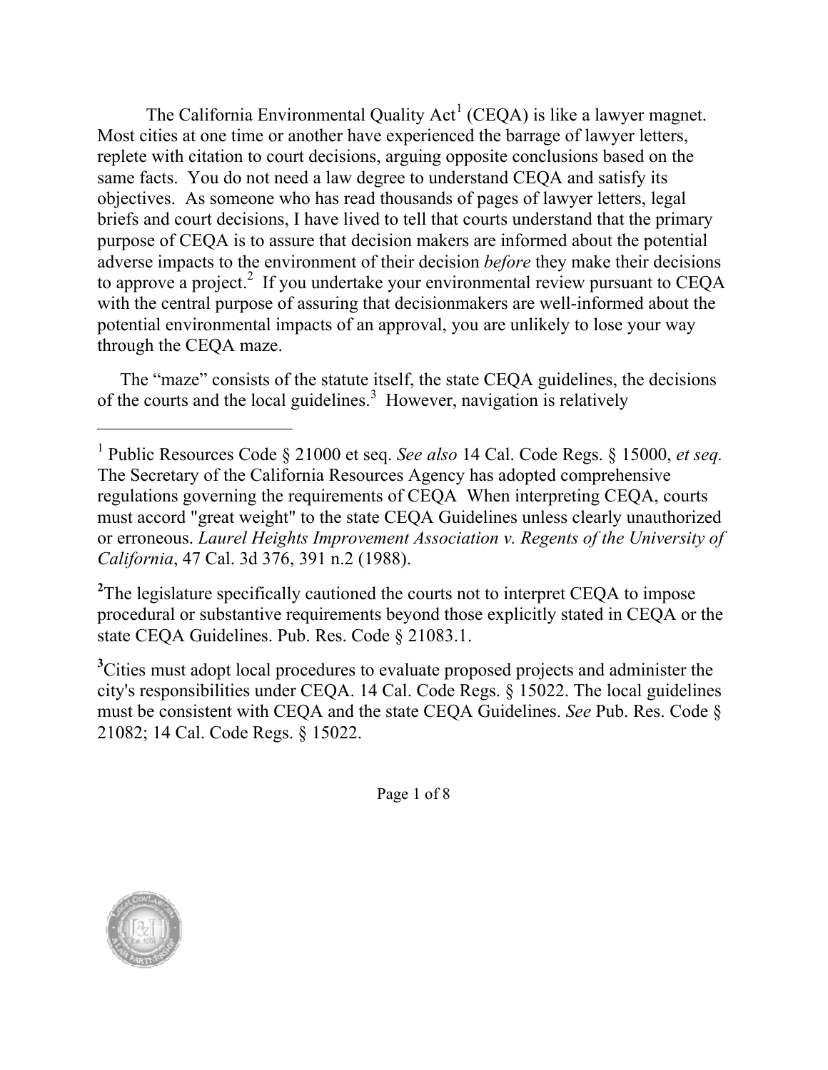The California Environmental Quality  $Act^1$  (CEQA) is like a lawyer magnet. Most cities at one time or another have experienced the barrage of lawyer letters, replete with citation to court decisions, arguing opposite conclusions based on the same facts. You do not need a law degree to understand CEQA and satisfy its objectives. As someone who has read thousands of pages of lawyer letters, legal briefs and court decisions, I have lived to tell that courts understand that the primary purpose of CEQA is to assure that decision makers are informed about the potential adverse impacts to the environment of their decision *before* they make their decisions to approve a project.<sup>2</sup> If you undertake your environmental review pursuant to CEQA with the central purpose of assuring that decisionmakers are well-informed about the potential environmental impacts of an approval, you are unlikely to lose your way through the CEQA maze.

The "maze" consists of the statute itself, the state CEQA guidelines, the decisions of the courts and the local guidelines. <sup>3</sup> However, navigation is relatively

<sup>2</sup>The legislature specifically cautioned the courts not to interpret CEQA to impose procedural or substantive requirements beyond those explicitly stated in CEQA or the state CEQA Guidelines. Pub. Res. Code § 21083.1.

<sup>3</sup>Cities must adopt local procedures to evaluate proposed projects and administer the city's responsibilities under CEQA. 14 Cal. Code Regs. § 15022. The local guidelines must be consistent with CEQA and the state CEQA Guidelines. *See* Pub. Res. Code § 21082; 14 Cal. Code Regs. § 15022.

Page 1 of 8



<sup>1</sup> Public Resources Code § 21000 et seq. *See also* 14 Cal. Code Regs. § 15000, *et seq.* The Secretary of the California Resources Agency has adopted comprehensive regulations governing the requirements of CEQA When interpreting CEQA, courts must accord "great weight" to the state CEQA Guidelines unless clearly unauthorized or erroneous. *Laurel Heights Improvement Association v. Regents of the University of California*, 47 Cal. 3d 376, 391 n.2 (1988).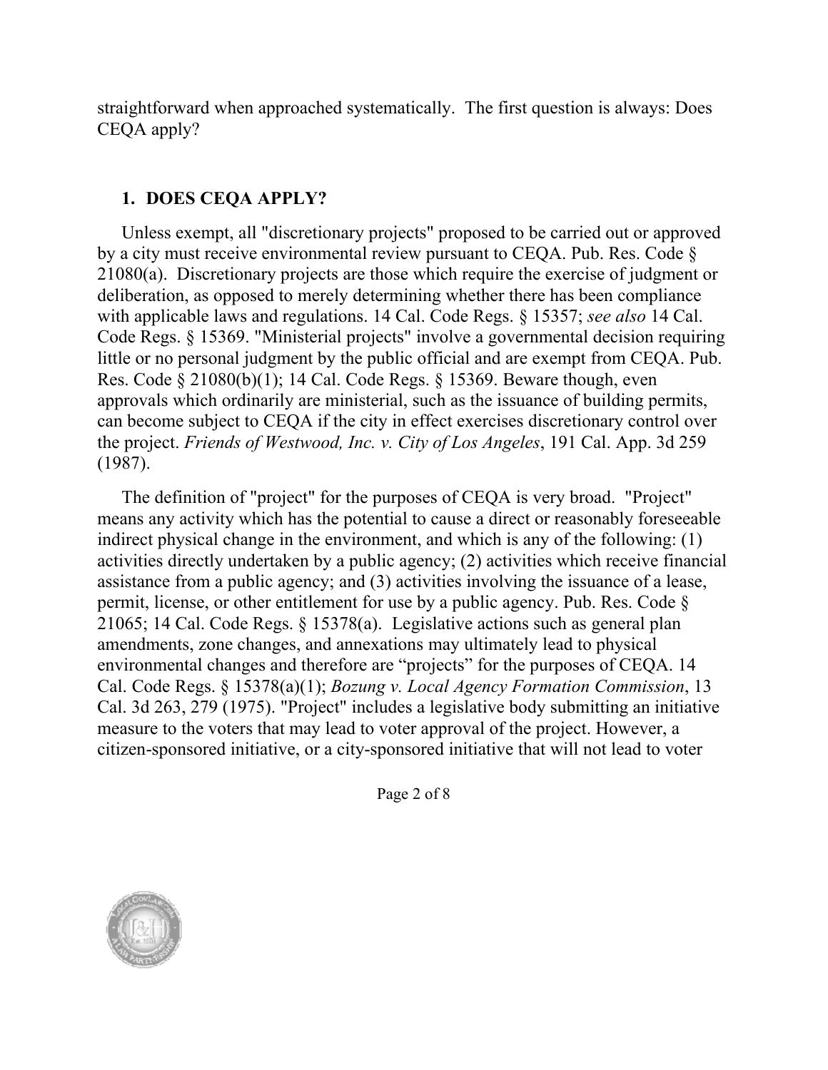straightforward when approached systematically. The first question is always: Does CEQA apply?

## **1. DOES CEQA APPLY?**

Unless exempt, all "discretionary projects" proposed to be carried out or approved by a city must receive environmental review pursuant to CEQA. Pub. Res. Code § 21080(a). Discretionary projects are those which require the exercise of judgment or deliberation, as opposed to merely determining whether there has been compliance with applicable laws and regulations. 14 Cal. Code Regs. § 15357; *see also* 14 Cal. Code Regs. § 15369. "Ministerial projects" involve a governmental decision requiring little or no personal judgment by the public official and are exempt from CEQA. Pub. Res. Code § 21080(b)(1); 14 Cal. Code Regs. § 15369. Beware though, even approvals which ordinarily are ministerial, such as the issuance of building permits, can become subject to CEQA if the city in effect exercises discretionary control over the project. *Friends of Westwood, Inc. v. City of Los Angeles*, 191 Cal. App. 3d 259 (1987).

The definition of "project" for the purposes of CEQA is very broad. "Project" means any activity which has the potential to cause a direct or reasonably foreseeable indirect physical change in the environment, and which is any of the following: (1) activities directly undertaken by a public agency; (2) activities which receive financial assistance from a public agency; and (3) activities involving the issuance of a lease, permit, license, or other entitlement for use by a public agency. Pub. Res. Code § 21065; 14 Cal. Code Regs. § 15378(a). Legislative actions such as general plan amendments, zone changes, and annexations may ultimately lead to physical environmental changes and therefore are "projects" for the purposes of CEQA. 14 Cal. Code Regs. § 15378(a)(1); *Bozung v. Local Agency Formation Commission*, 13 Cal. 3d 263, 279 (1975). "Project" includes a legislative body submitting an initiative measure to the voters that may lead to voter approval of the project. However, a citizen-sponsored initiative, or a city-sponsored initiative that will not lead to voter

Page 2 of 8

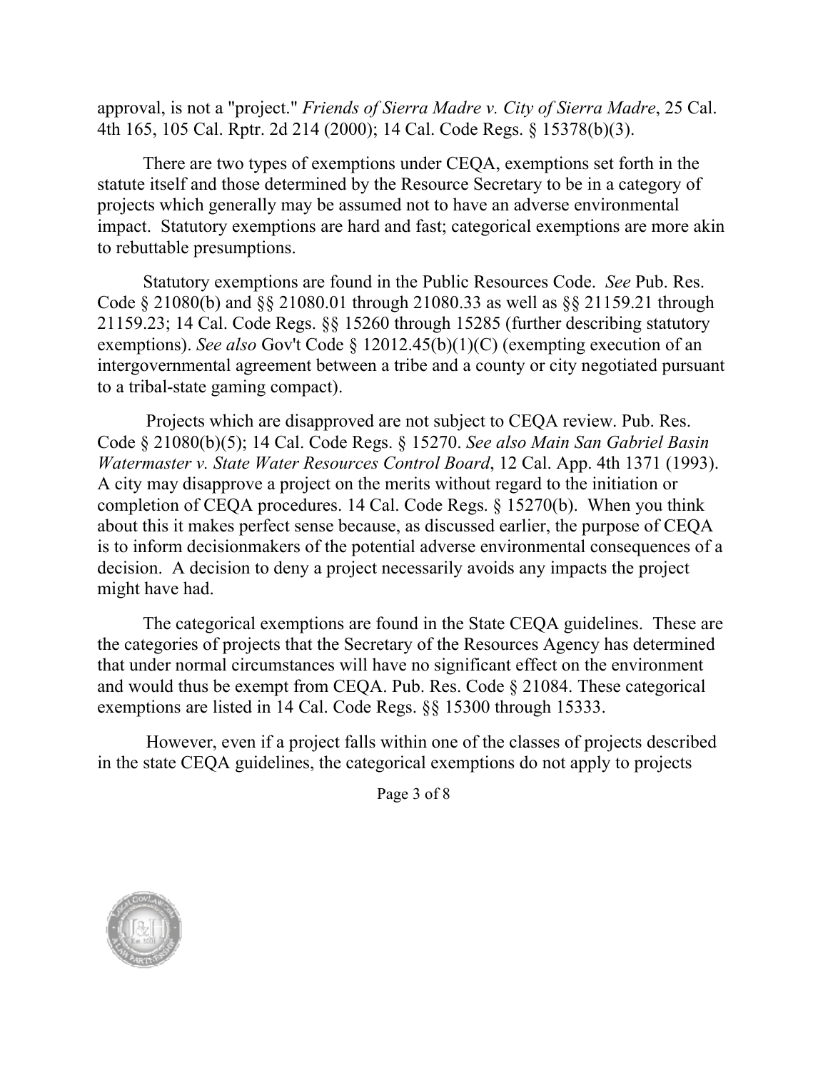approval, is not a "project." *Friends of Sierra Madre v. City of Sierra Madre*, 25 Cal. 4th 165, 105 Cal. Rptr. 2d 214 (2000); 14 Cal. Code Regs. § 15378(b)(3).

There are two types of exemptions under CEQA, exemptions set forth in the statute itself and those determined by the Resource Secretary to be in a category of projects which generally may be assumed not to have an adverse environmental impact. Statutory exemptions are hard and fast; categorical exemptions are more akin to rebuttable presumptions.

Statutory exemptions are found in the Public Resources Code. *See* Pub. Res. Code § 21080(b) and §§ 21080.01 through 21080.33 as well as §§ 21159.21 through 21159.23; 14 Cal. Code Regs. §§ 15260 through 15285 (further describing statutory exemptions). *See also* Gov't Code § 12012.45(b)(1)(C) (exempting execution of an intergovernmental agreement between a tribe and a county or city negotiated pursuant to a tribal-state gaming compact).

Projects which are disapproved are not subject to CEQA review. Pub. Res. Code § 21080(b)(5); 14 Cal. Code Regs. § 15270. *See also Main San Gabriel Basin Watermaster v. State Water Resources Control Board*, 12 Cal. App. 4th 1371 (1993). A city may disapprove a project on the merits without regard to the initiation or completion of CEQA procedures. 14 Cal. Code Regs. § 15270(b). When you think about this it makes perfect sense because, as discussed earlier, the purpose of CEQA is to inform decisionmakers of the potential adverse environmental consequences of a decision. A decision to deny a project necessarily avoids any impacts the project might have had.

The categorical exemptions are found in the State CEQA guidelines. These are the categories of projects that the Secretary of the Resources Agency has determined that under normal circumstances will have no significant effect on the environment and would thus be exempt from CEQA. Pub. Res. Code § 21084. These categorical exemptions are listed in 14 Cal. Code Regs. §§ 15300 through 15333.

However, even if a project falls within one of the classes of projects described in the state CEQA guidelines, the categorical exemptions do not apply to projects

Page 3 of 8

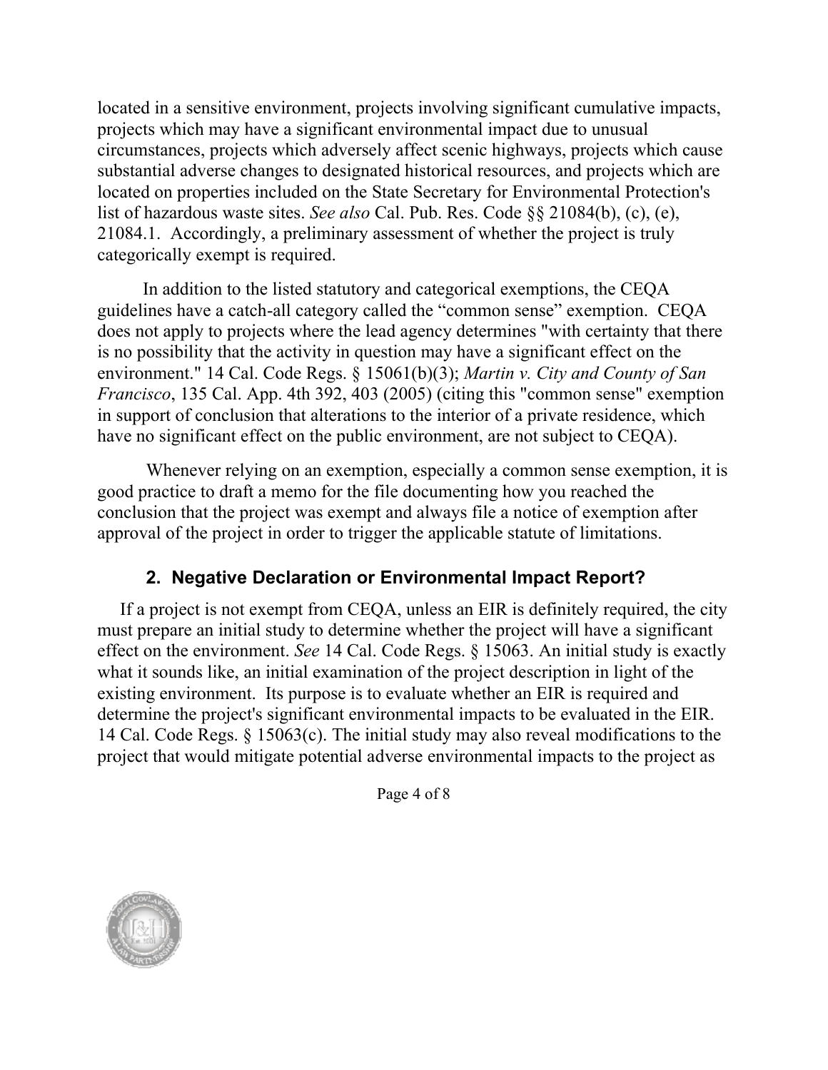located in a sensitive environment, projects involving significant cumulative impacts, projects which may have a significant environmental impact due to unusual circumstances, projects which adversely affect scenic highways, projects which cause substantial adverse changes to designated historical resources, and projects which are located on properties included on the State Secretary for Environmental Protection's list of hazardous waste sites. *See also* Cal. Pub. Res. Code §§ 21084(b), (c), (e), 21084.1. Accordingly, a preliminary assessment of whether the project is truly categorically exempt is required.

In addition to the listed statutory and categorical exemptions, the CEQA guidelines have a catch-all category called the "common sense" exemption. CEQA does not apply to projects where the lead agency determines "with certainty that there is no possibility that the activity in question may have a significant effect on the environment." 14 Cal. Code Regs. § 15061(b)(3); *Martin v. City and County of San Francisco*, 135 Cal. App. 4th 392, 403 (2005) (citing this "common sense" exemption in support of conclusion that alterations to the interior of a private residence, which have no significant effect on the public environment, are not subject to CEQA).

Whenever relying on an exemption, especially a common sense exemption, it is good practice to draft a memo for the file documenting how you reached the conclusion that the project was exempt and always file a notice of exemption after approval of the project in order to trigger the applicable statute of limitations.

## **2. Negative Declaration or Environmental Impact Report?**

If a project is not exempt from CEQA, unless an EIR is definitely required, the city must prepare an initial study to determine whether the project will have a significant effect on the environment. *See* 14 Cal. Code Regs. § 15063. An initial study is exactly what it sounds like, an initial examination of the project description in light of the existing environment. Its purpose is to evaluate whether an EIR is required and determine the project's significant environmental impacts to be evaluated in the EIR. 14 Cal. Code Regs. § 15063(c). The initial study may also reveal modifications to the project that would mitigate potential adverse environmental impacts to the project as

Page 4 of 8

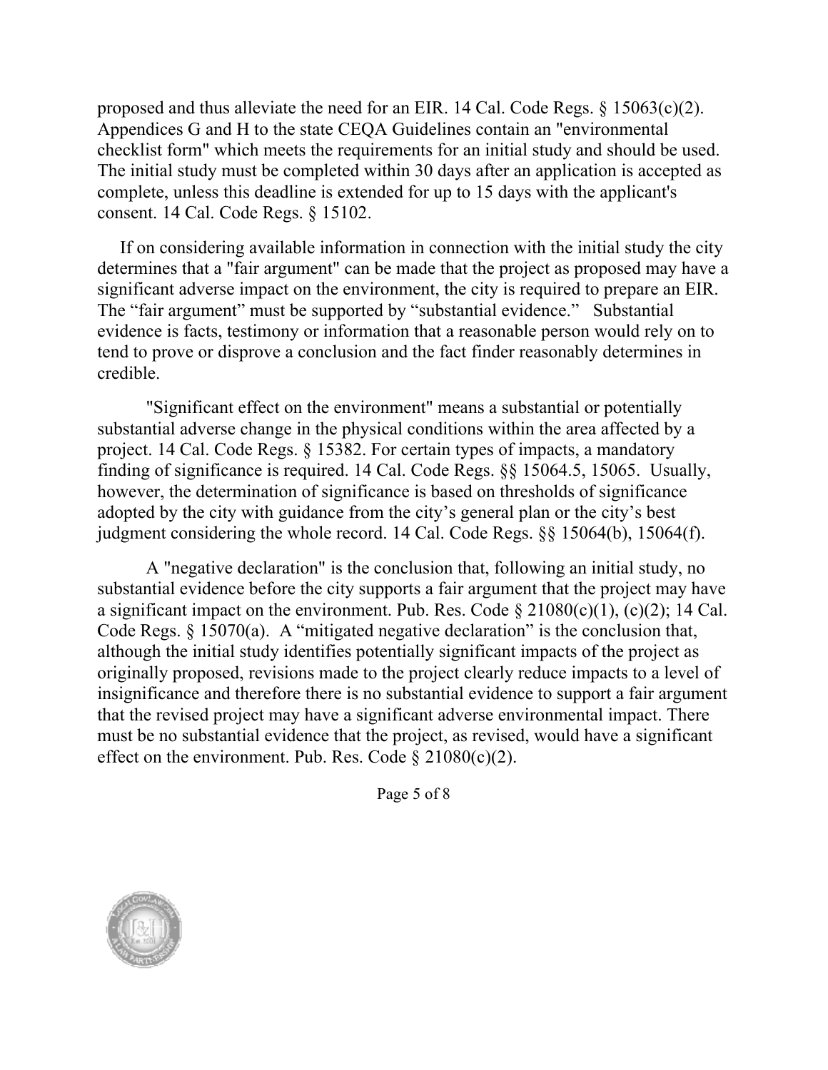proposed and thus alleviate the need for an EIR. 14 Cal. Code Regs. § 15063(c)(2). Appendices G and H to the state CEQA Guidelines contain an "environmental checklist form" which meets the requirements for an initial study and should be used. The initial study must be completed within 30 days after an application is accepted as complete, unless this deadline is extended for up to 15 days with the applicant's consent. 14 Cal. Code Regs. § 15102.

If on considering available information in connection with the initial study the city determines that a "fair argument" can be made that the project as proposed may have a significant adverse impact on the environment, the city is required to prepare an EIR. The "fair argument" must be supported by "substantial evidence." Substantial evidence is facts, testimony or information that a reasonable person would rely on to tend to prove or disprove a conclusion and the fact finder reasonably determines in credible.

"Significant effect on the environment" means a substantial or potentially substantial adverse change in the physical conditions within the area affected by a project. 14 Cal. Code Regs. § 15382. For certain types of impacts, a mandatory finding of significance is required. 14 Cal. Code Regs. §§ 15064.5, 15065. Usually, however, the determination of significance is based on thresholds of significance adopted by the city with guidance from the city's general plan or the city's best judgment considering the whole record. 14 Cal. Code Regs. §§ 15064(b), 15064(f).

A "negative declaration" is the conclusion that, following an initial study, no substantial evidence before the city supports a fair argument that the project may have a significant impact on the environment. Pub. Res. Code  $\S 21080(c)(1)$ , (c)(2); 14 Cal. Code Regs.  $\S 15070(a)$ . A "mitigated negative declaration" is the conclusion that, although the initial study identifies potentially significant impacts of the project as originally proposed, revisions made to the project clearly reduce impacts to a level of insignificance and therefore there is no substantial evidence to support a fair argument that the revised project may have a significant adverse environmental impact. There must be no substantial evidence that the project, as revised, would have a significant effect on the environment. Pub. Res. Code  $\S 21080(c)(2)$ .

Page 5 of 8

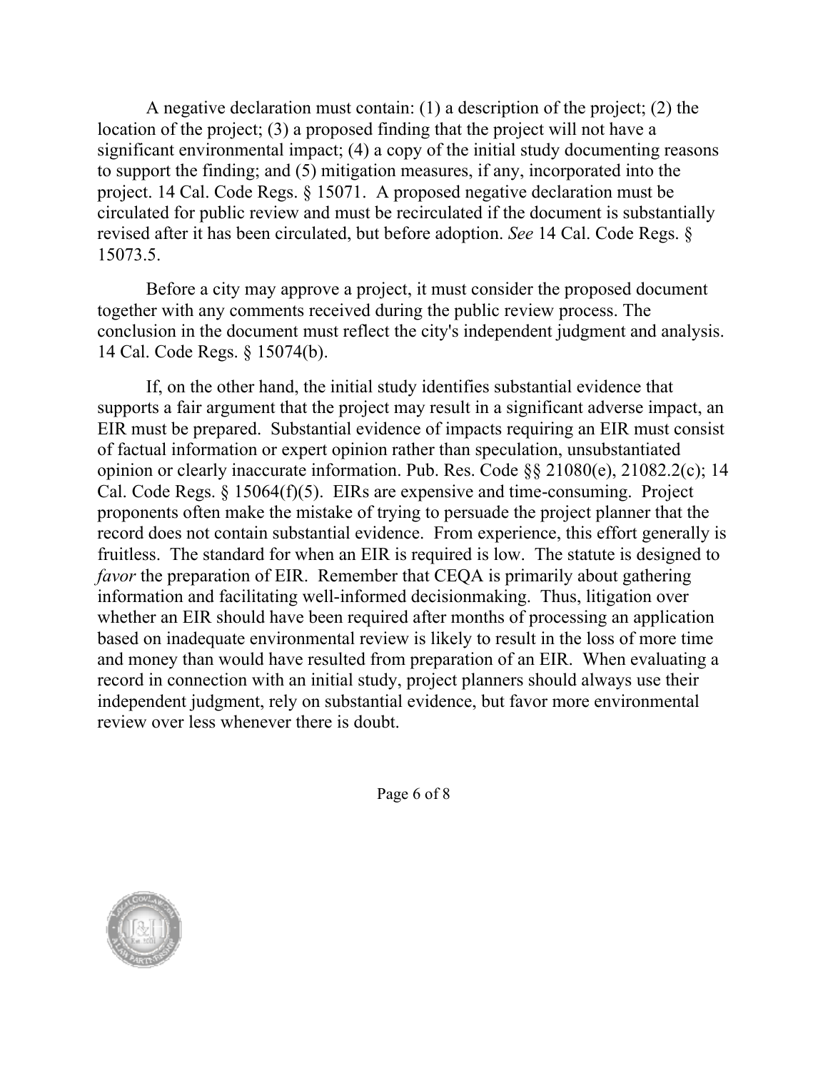A negative declaration must contain: (1) a description of the project; (2) the location of the project; (3) a proposed finding that the project will not have a significant environmental impact; (4) a copy of the initial study documenting reasons to support the finding; and (5) mitigation measures, if any, incorporated into the project. 14 Cal. Code Regs. § 15071. A proposed negative declaration must be circulated for public review and must be recirculated if the document is substantially revised after it has been circulated, but before adoption. *See* 14 Cal. Code Regs. § 15073.5.

Before a city may approve a project, it must consider the proposed document together with any comments received during the public review process. The conclusion in the document must reflect the city's independent judgment and analysis. 14 Cal. Code Regs. § 15074(b).

If, on the other hand, the initial study identifies substantial evidence that supports a fair argument that the project may result in a significant adverse impact, an EIR must be prepared. Substantial evidence of impacts requiring an EIR must consist of factual information or expert opinion rather than speculation, unsubstantiated opinion or clearly inaccurate information. Pub. Res. Code §§ 21080(e), 21082.2(c); 14 Cal. Code Regs. § 15064(f)(5). EIRs are expensive and time-consuming. Project proponents often make the mistake of trying to persuade the project planner that the record does not contain substantial evidence. From experience, this effort generally is fruitless. The standard for when an EIR is required is low. The statute is designed to *favor* the preparation of EIR. Remember that CEQA is primarily about gathering information and facilitating well-informed decisionmaking. Thus, litigation over whether an EIR should have been required after months of processing an application based on inadequate environmental review is likely to result in the loss of more time and money than would have resulted from preparation of an EIR. When evaluating a record in connection with an initial study, project planners should always use their independent judgment, rely on substantial evidence, but favor more environmental review over less whenever there is doubt.

Page 6 of 8

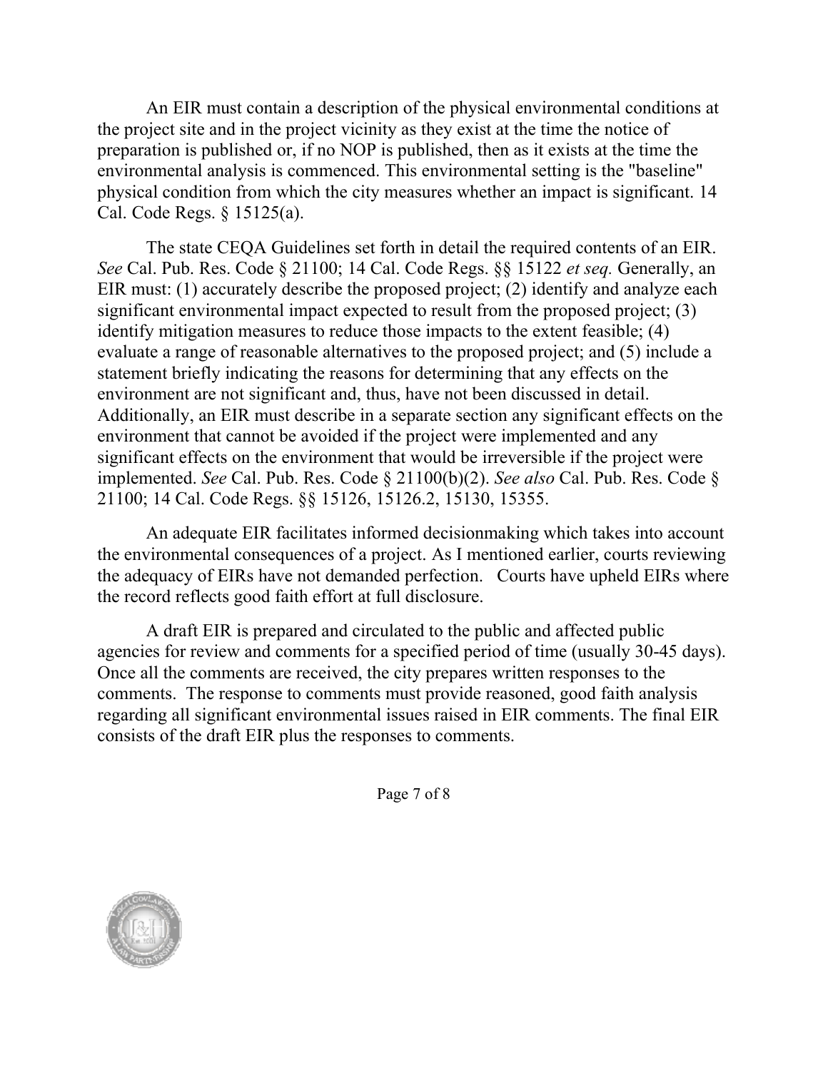An EIR must contain a description of the physical environmental conditions at the project site and in the project vicinity as they exist at the time the notice of preparation is published or, if no NOP is published, then as it exists at the time the environmental analysis is commenced. This environmental setting is the "baseline" physical condition from which the city measures whether an impact is significant. 14 Cal. Code Regs. § 15125(a).

The state CEQA Guidelines set forth in detail the required contents of an EIR. *See* Cal. Pub. Res. Code § 21100; 14 Cal. Code Regs. §§ 15122 *et seq.* Generally, an EIR must: (1) accurately describe the proposed project; (2) identify and analyze each significant environmental impact expected to result from the proposed project; (3) identify mitigation measures to reduce those impacts to the extent feasible; (4) evaluate a range of reasonable alternatives to the proposed project; and (5) include a statement briefly indicating the reasons for determining that any effects on the environment are not significant and, thus, have not been discussed in detail. Additionally, an EIR must describe in a separate section any significant effects on the environment that cannot be avoided if the project were implemented and any significant effects on the environment that would be irreversible if the project were implemented. *See* Cal. Pub. Res. Code § 21100(b)(2). *See also* Cal. Pub. Res. Code § 21100; 14 Cal. Code Regs. §§ 15126, 15126.2, 15130, 15355.

An adequate EIR facilitates informed decisionmaking which takes into account the environmental consequences of a project. As I mentioned earlier, courts reviewing the adequacy of EIRs have not demanded perfection. Courts have upheld EIRs where the record reflects good faith effort at full disclosure.

A draft EIR is prepared and circulated to the public and affected public agencies for review and comments for a specified period of time (usually 30-45 days). Once all the comments are received, the city prepares written responses to the comments. The response to comments must provide reasoned, good faith analysis regarding all significant environmental issues raised in EIR comments. The final EIR consists of the draft EIR plus the responses to comments.

Page 7 of 8

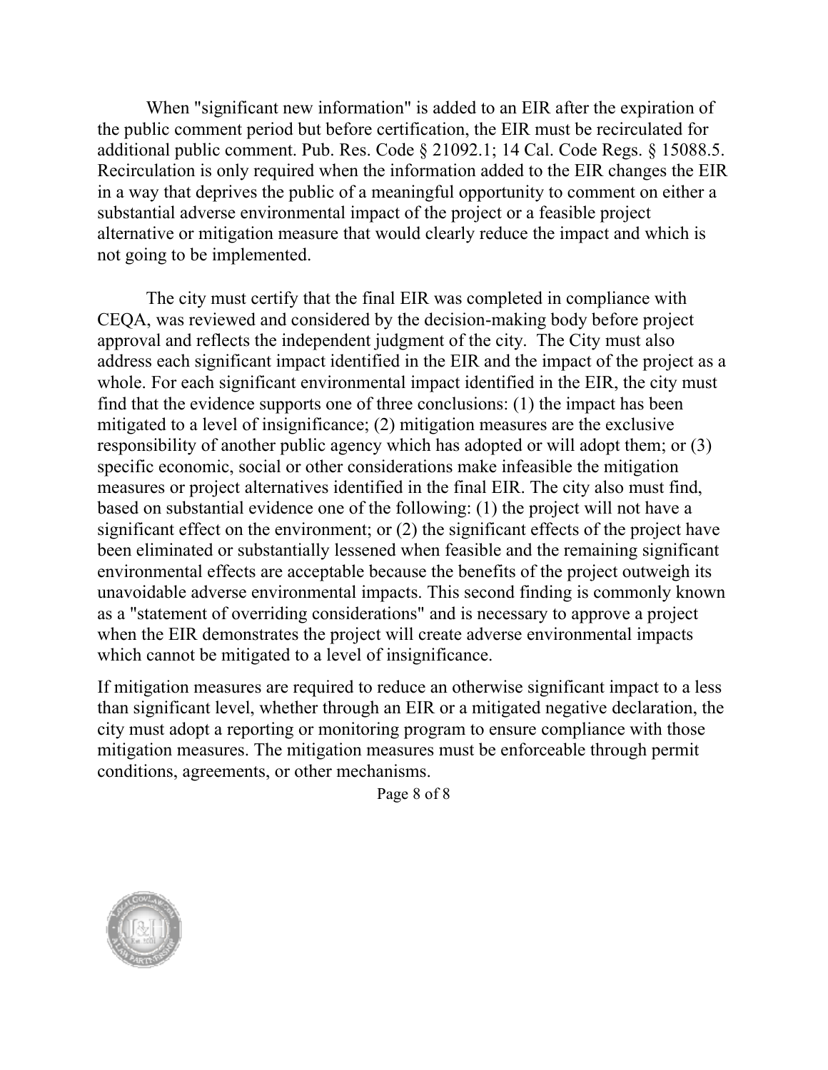When "significant new information" is added to an EIR after the expiration of the public comment period but before certification, the EIR must be recirculated for additional public comment. Pub. Res. Code § 21092.1; 14 Cal. Code Regs. § 15088.5. Recirculation is only required when the information added to the EIR changes the EIR in a way that deprives the public of a meaningful opportunity to comment on either a substantial adverse environmental impact of the project or a feasible project alternative or mitigation measure that would clearly reduce the impact and which is not going to be implemented.

The city must certify that the final EIR was completed in compliance with CEQA, was reviewed and considered by the decision-making body before project approval and reflects the independent judgment of the city. The City must also address each significant impact identified in the EIR and the impact of the project as a whole. For each significant environmental impact identified in the EIR, the city must find that the evidence supports one of three conclusions: (1) the impact has been mitigated to a level of insignificance; (2) mitigation measures are the exclusive responsibility of another public agency which has adopted or will adopt them; or (3) specific economic, social or other considerations make infeasible the mitigation measures or project alternatives identified in the final EIR. The city also must find, based on substantial evidence one of the following: (1) the project will not have a significant effect on the environment; or (2) the significant effects of the project have been eliminated or substantially lessened when feasible and the remaining significant environmental effects are acceptable because the benefits of the project outweigh its unavoidable adverse environmental impacts. This second finding is commonly known as a "statement of overriding considerations" and is necessary to approve a project when the EIR demonstrates the project will create adverse environmental impacts which cannot be mitigated to a level of insignificance.

If mitigation measures are required to reduce an otherwise significant impact to a less than significant level, whether through an EIR or a mitigated negative declaration, the city must adopt a reporting or monitoring program to ensure compliance with those mitigation measures. The mitigation measures must be enforceable through permit conditions, agreements, or other mechanisms.

Page 8 of 8